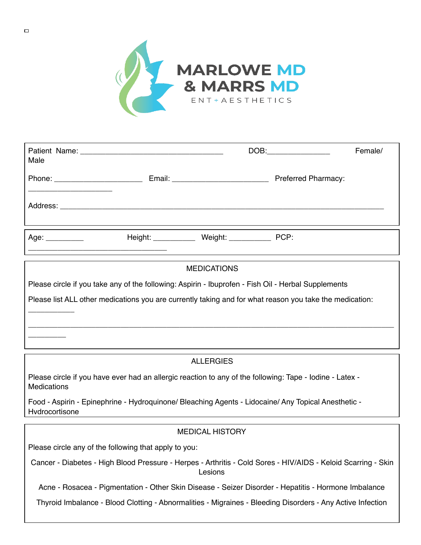

| Male                               |                                                    | $DOB:\underline{\hspace{2.5cm}}$ | Female/ |
|------------------------------------|----------------------------------------------------|----------------------------------|---------|
| Phone: ___________________________ |                                                    | <b>Preferred Pharmacy:</b>       |         |
|                                    |                                                    |                                  |         |
| Age: $\qquad \qquad$               | Height: ______________ Weight: ______________ PCP: |                                  |         |

# **MEDICATIONS** Please circle if you take any of the following: Aspirin - Ibuprofen - Fish Oil - Herbal Supplements Please list ALL other medications you are currently taking and for what reason you take the medication: \_\_\_\_\_\_\_\_\_\_\_ \_\_\_\_\_\_\_\_\_\_\_\_\_\_\_\_\_\_\_\_\_\_\_\_\_\_\_\_\_\_\_\_\_\_\_\_\_\_\_\_\_\_\_\_\_\_\_\_\_\_\_\_\_\_\_\_\_\_\_\_\_\_\_\_\_\_\_\_\_\_\_\_\_\_\_\_\_\_\_\_\_\_\_\_\_\_\_ \_\_\_\_\_\_\_\_\_

## **ALLERGIES**

Please circle if you have ever had an allergic reaction to any of the following: Tape - Iodine - Latex - **Medications** 

Food - Aspirin - Epinephrine - Hydroquinone/ Bleaching Agents - Lidocaine/ Any Topical Anesthetic - **Hydrocortisone** 

### MEDICAL HISTORY

Please circle any of the following that apply to you:

Cancer - Diabetes - High Blood Pressure - Herpes - Arthritis - Cold Sores - HIV/AIDS - Keloid Scarring - Skin Lesions

Acne - Rosacea - Pigmentation - Other Skin Disease - Seizer Disorder - Hepatitis - Hormone Imbalance

Thyroid Imbalance - Blood Clotting - Abnormalities - Migraines - Bleeding Disorders - Any Active Infection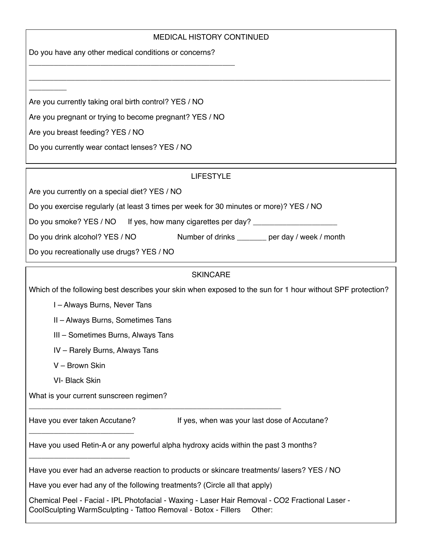## MEDICAL HISTORY CONTINUED

\_\_\_\_\_\_\_\_\_\_\_\_\_\_\_\_\_\_\_\_\_\_\_\_\_\_\_\_\_\_\_\_\_\_\_\_\_\_\_\_\_\_\_\_\_\_\_\_\_\_\_\_\_\_\_\_\_\_\_\_\_\_\_\_\_\_\_\_\_\_\_\_\_\_\_\_\_\_\_\_\_\_\_\_\_\_

Do you have any other medical conditions or concerns?

\_\_\_\_\_\_\_\_\_\_\_\_\_\_\_\_\_\_\_\_\_\_\_\_\_\_\_\_\_\_\_\_\_\_\_\_\_\_\_\_\_\_\_\_\_\_\_\_\_

Are you currently taking oral birth control? YES / NO

Are you pregnant or trying to become pregnant? YES / NO

Are you breast feeding? YES / NO

\_\_\_\_\_\_\_\_\_

Do you currently wear contact lenses? YES / NO

# LIFESTYLE

Are you currently on a special diet? YES / NO

Do you exercise regularly (at least 3 times per week for 30 minutes or more)? YES / NO

Do you smoke? YES / NO If yes, how many cigarettes per day? \_\_\_\_\_\_\_\_\_\_\_\_\_\_\_\_\_\_\_\_

Do you drink alcohol? YES / NO Number of drinks \_\_\_\_\_\_ per day / week / month

Do you recreationally use drugs? YES / NO

## **SKINCARE**

Which of the following best describes your skin when exposed to the sun for 1 hour without SPF protection?

I – Always Burns, Never Tans

II – Always Burns, Sometimes Tans

III – Sometimes Burns, Always Tans

IV – Rarely Burns, Always Tans

V – Brown Skin

VI- Black Skin

What is your current sunscreen regimen?

\_\_\_\_\_\_\_\_\_\_\_\_\_\_\_\_\_\_\_\_\_\_\_\_\_

\_\_\_\_\_\_\_\_\_\_\_\_\_\_\_\_\_\_\_\_\_\_\_\_

Have you ever taken Accutane? If yes, when was your last dose of Accutane?

Have you used Retin-A or any powerful alpha hydroxy acids within the past 3 months?

Have you ever had an adverse reaction to products or skincare treatments/ lasers? YES / NO

Have you ever had any of the following treatments? (Circle all that apply)

\_\_\_\_\_\_\_\_\_\_\_\_\_\_\_\_\_\_\_\_\_\_\_\_\_\_\_\_\_\_\_\_\_\_\_\_\_\_\_\_\_\_\_\_\_\_\_\_\_\_\_\_\_\_\_\_\_\_\_\_

Chemical Peel - Facial - IPL Photofacial - Waxing - Laser Hair Removal - CO2 Fractional Laser - CoolSculpting WarmSculpting - Tattoo Removal - Botox - Fillers Other: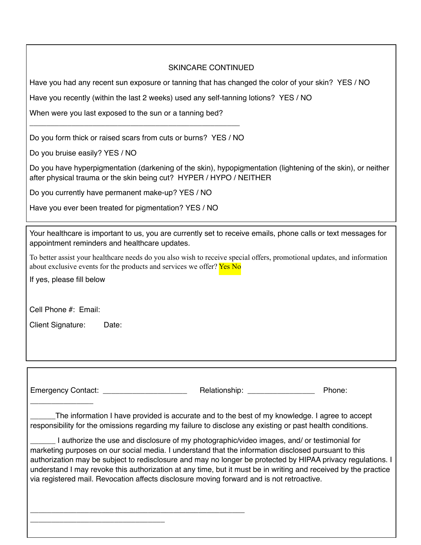## SKINCARE CONTINUED

Have you had any recent sun exposure or tanning that has changed the color of your skin? YES / NO

Have you recently (within the last 2 weeks) used any self-tanning lotions? YES / NO

When were you last exposed to the sun or a tanning bed?

Do you form thick or raised scars from cuts or burns? YES / NO

\_\_\_\_\_\_\_\_\_\_\_\_\_\_\_\_\_\_\_\_\_\_\_\_\_\_\_\_\_\_\_\_\_\_\_\_\_\_\_\_\_\_\_\_\_\_\_\_\_\_

Do you bruise easily? YES / NO

Do you have hyperpigmentation (darkening of the skin), hypopigmentation (lightening of the skin), or neither after physical trauma or the skin being cut? HYPER / HYPO / NEITHER

Do you currently have permanent make-up? YES / NO

Have you ever been treated for pigmentation? YES / NO

\_\_\_\_\_\_\_\_\_\_\_\_\_\_\_\_\_\_\_\_\_\_\_\_\_\_\_\_\_\_\_\_\_\_\_\_\_\_\_\_\_\_\_\_\_\_\_\_\_\_\_

\_\_\_\_\_\_\_\_\_\_\_\_\_\_\_\_\_\_\_\_\_\_\_\_\_\_\_\_\_\_\_\_

Your healthcare is important to us, you are currently set to receive emails, phone calls or text messages for appointment reminders and healthcare updates.

To better assist your healthcare needs do you also wish to receive special offers, promotional updates, and information about exclusive events for the products and services we offer? Yes No

If yes, please fill below

Cell Phone #: Email:

Client Signature: Date:

\_\_\_\_\_\_\_\_\_\_\_\_\_\_\_

Emergency Contact: example and the Relationship: example and phone: Phone: Phone: Phone: Phone: Phone: Phone: Phone: Phone: Phone: Phone: Phone: Phone: Phone: Phone: Phone: Phone: Phone: Phone: Phone: Phone: Phone: Phone:

\_\_\_\_\_\_The information I have provided is accurate and to the best of my knowledge. I agree to accept responsibility for the omissions regarding my failure to disclose any existing or past health conditions.

I authorize the use and disclosure of my photographic/video images, and/ or testimonial for marketing purposes on our social media. I understand that the information disclosed pursuant to this authorization may be subject to redisclosure and may no longer be protected by HIPAA privacy regulations. I understand I may revoke this authorization at any time, but it must be in writing and received by the practice via registered mail. Revocation affects disclosure moving forward and is not retroactive.